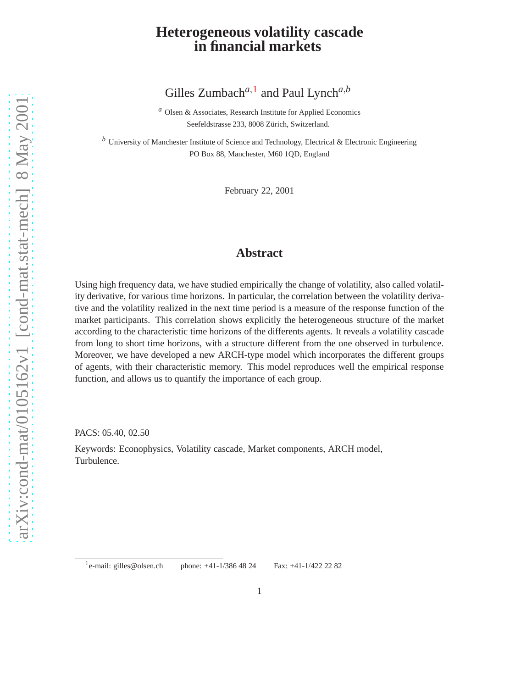# **Heterogeneous volatility cascade in financial markets**

Gilles Zumbach*a*,[1](#page-0-0) and Paul Lynch*a*,*<sup>b</sup>*

*<sup>a</sup>* Olsen & Associates, Research Institute for Applied Economics Seefeldstrasse 233, 8008 Zürich, Switzerland.

*<sup>b</sup>* University of Manchester Institute of Science and Technology, Electrical & Electronic Engineering PO Box 88, Manchester, M60 1QD, England

February 22, 2001

### **Abstract**

Using high frequency data, we have studied empirically the change of volatility, also called volatility derivative, for various time horizons. In particular, the correlation between the volatility derivative and the volatility realized in the next time period is a measure of the response function of the market participants. This correlation shows explicitly the heterogeneous structure of the market according to the characteristic time horizons of the differents agents. It reveals a volatility cascade from long to short time horizons, with a structure different from the one observed in turbulence. Moreover, we have developed a new ARCH-type model which incorporates the different groups of agents, with their characteristic memory. This model reproduces well the empirical response function, and allows us to quantify the importance of each group.

PACS: 05.40, 02.50

Keywords: Econophysics, Volatility cascade, Market components, ARCH model, Turbulence.

<span id="page-0-0"></span> $1$ e-mail: gilles@olsen.ch phone:  $+41-1/386$  48 24 Fax:  $+41-1/422$  22 82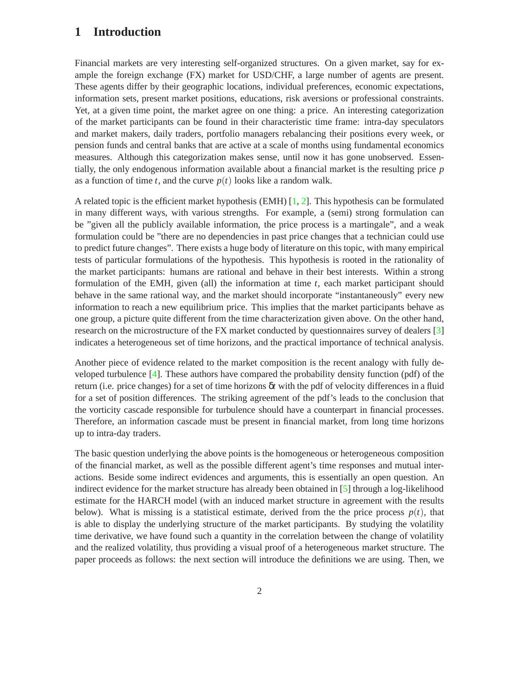# **1 Introduction**

Financial markets are very interesting self-organized structures. On a given market, say for example the foreign exchange (FX) market for USD/CHF, a large number of agents are present. These agents differ by their geographic locations, individual preferences, economic expectations, information sets, present market positions, educations, risk aversions or professional constraints. Yet, at a given time point, the market agree on one thing: a price. An interesting categorization of the market participants can be found in their characteristic time frame: intra-day speculators and market makers, daily traders, portfolio managers rebalancing their positions every week, or pension funds and central banks that are active at a scale of months using fundamental economics measures. Although this categorization makes sense, until now it has gone unobserved. Essentially, the only endogenous information available about a financial market is the resulting price *p* as a function of time *t*, and the curve  $p(t)$  looks like a random walk.

A related topic is the efficient market hypothesis (EMH) [\[1,](#page-8-0) [2\]](#page-8-1). This hypothesis can be formulated in many different ways, with various strengths. For example, a (semi) strong formulation can be "given all the publicly available information, the price process is a martingale", and a weak formulation could be "there are no dependencies in past price changes that a technician could use to predict future changes". There exists a huge body of literature on this topic, with many empirical tests of particular formulations of the hypothesis. This hypothesis is rooted in the rationality of the market participants: humans are rational and behave in their best interests. Within a strong formulation of the EMH, given (all) the information at time *t*, each market participant should behave in the same rational way, and the market should incorporate "instantaneously" every new information to reach a new equilibrium price. This implies that the market participants behave as one group, a picture quite different from the time characterization given above. On the other hand, research on the microstructure of the FX market conducted by questionnaires survey of dealers [\[3\]](#page-8-2) indicates a heterogeneous set of time horizons, and the practical importance of technical analysis.

Another piece of evidence related to the market composition is the recent analogy with fully developed turbulence [\[4\]](#page-8-3). These authors have compared the probability density function (pdf) of the return (i.e. price changes) for a set of time horizons δ*t* with the pdf of velocity differences in a fluid for a set of position differences. The striking agreement of the pdf's leads to the conclusion that the vorticity cascade responsible for turbulence should have a counterpart in financial processes. Therefore, an information cascade must be present in financial market, from long time horizons up to intra-day traders.

The basic question underlying the above points is the homogeneous or heterogeneous composition of the financial market, as well as the possible different agent's time responses and mutual interactions. Beside some indirect evidences and arguments, this is essentially an open question. An indirect evidence for the market structure has already been obtained in [\[5\]](#page-8-4) through a log-likelihood estimate for the HARCH model (with an induced market structure in agreement with the results below). What is missing is a statistical estimate, derived from the the price process  $p(t)$ , that is able to display the underlying structure of the market participants. By studying the volatility time derivative, we have found such a quantity in the correlation between the change of volatility and the realized volatility, thus providing a visual proof of a heterogeneous market structure. The paper proceeds as follows: the next section will introduce the definitions we are using. Then, we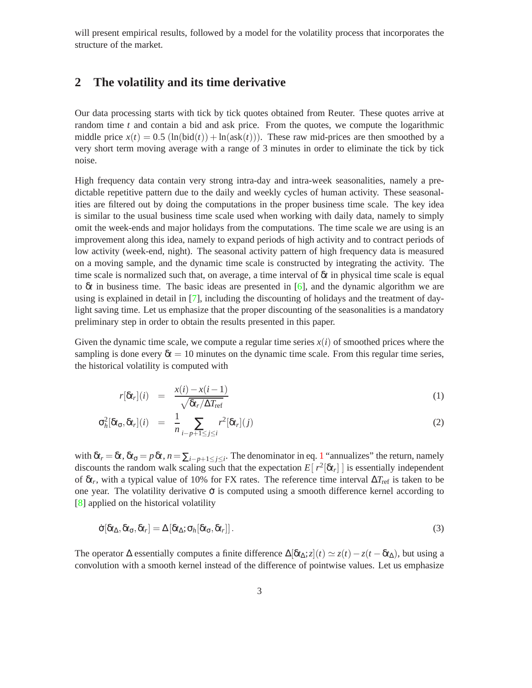will present empirical results, followed by a model for the volatility process that incorporates the structure of the market.

## **2 The volatility and its time derivative**

Our data processing starts with tick by tick quotes obtained from Reuter. These quotes arrive at random time *t* and contain a bid and ask price. From the quotes, we compute the logarithmic middle price  $x(t) = 0.5$   $(\ln(\text{bid}(t)) + \ln(\text{ask}(t)))$ . These raw mid-prices are then smoothed by a very short term moving average with a range of 3 minutes in order to eliminate the tick by tick noise.

High frequency data contain very strong intra-day and intra-week seasonalities, namely a predictable repetitive pattern due to the daily and weekly cycles of human activity. These seasonalities are filtered out by doing the computations in the proper business time scale. The key idea is similar to the usual business time scale used when working with daily data, namely to simply omit the week-ends and major holidays from the computations. The time scale we are using is an improvement along this idea, namely to expand periods of high activity and to contract periods of low activity (week-end, night). The seasonal activity pattern of high frequency data is measured on a moving sample, and the dynamic time scale is constructed by integrating the activity. The time scale is normalized such that, on average, a time interval of  $\delta t$  in physical time scale is equal to δ*t* in business time. The basic ideas are presented in [\[6\]](#page-8-5), and the dynamic algorithm we are using is explained in detail in [\[7\]](#page-8-6), including the discounting of holidays and the treatment of daylight saving time. Let us emphasize that the proper discounting of the seasonalities is a mandatory preliminary step in order to obtain the results presented in this paper.

Given the dynamic time scale, we compute a regular time series  $x(i)$  of smoothed prices where the sampling is done every  $\delta t = 10$  minutes on the dynamic time scale. From this regular time series, the historical volatility is computed with

$$
r[\delta t_r](i) = \frac{x(i) - x(i-1)}{\sqrt{\delta t_r/\Delta T_{\text{ref}}}}
$$
\n(1)

$$
\sigma_h^2[\delta t_\sigma, \delta t_r](i) = \frac{1}{n} \sum_{i-p+1 \le j \le i} r^2[\delta t_r](j) \tag{2}
$$

<span id="page-2-0"></span>with  $\delta t_r = \delta t$ ,  $\delta t_\sigma = p \, \delta t$ ,  $n = \sum_{i-p+1 \leq j \leq i}$  $n = \sum_{i-p+1 \leq j \leq i}$  $n = \sum_{i-p+1 \leq j \leq i}$ . The denominator in eq. 1 "annualizes" the return, namely discounts the random walk scaling such that the expectation  $E[r^2[\delta t_r]]$  is essentially independent of  $\delta t_r$ , with a typical value of 10% for FX rates. The reference time interval  $\Delta T_{\text{ref}}$  is taken to be one year. The volatility derivative  $\dot{\sigma}$  is computed using a smooth difference kernel according to [\[8\]](#page-9-0) applied on the historical volatility

$$
\dot{\sigma}[\delta t_{\Delta}, \delta t_{\sigma}, \delta t_r] = \Delta [\delta t_{\Delta}; \sigma_h[\delta t_{\sigma}, \delta t_r]]. \tag{3}
$$

The operator  $\Delta$  essentially computes a finite difference  $\Delta[\delta t_{\Delta}; z](t) \simeq z(t) - z(t - \delta t_{\Delta})$ , but using a convolution with a smooth kernel instead of the difference of pointwise values. Let us emphasize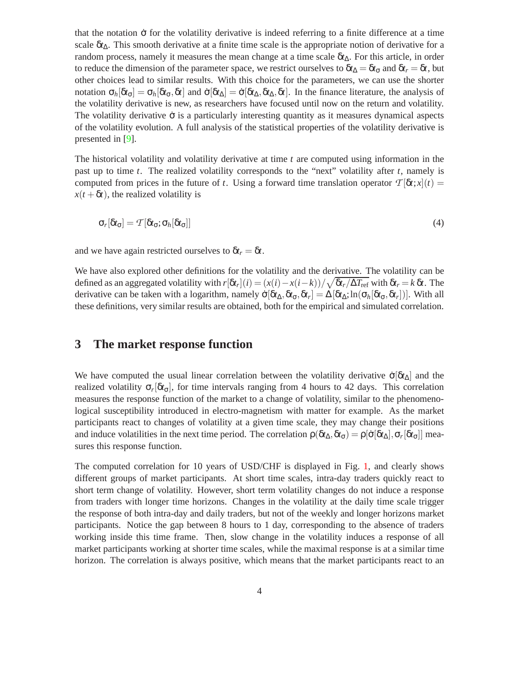that the notation  $\dot{\sigma}$  for the volatility derivative is indeed referring to a finite difference at a time scale δ*t*∆. This smooth derivative at a finite time scale is the appropriate notion of derivative for a random process, namely it measures the mean change at a time scale δ*t*∆. For this article, in order to reduce the dimension of the parameter space, we restrict ourselves to  $\delta t_{\Delta} = \delta t_{\sigma}$  and  $\delta t_{r} = \delta t$ , but other choices lead to similar results. With this choice for the parameters, we can use the shorter notation  $\sigma_h[\delta t_\sigma] = \sigma_h[\delta t_\sigma, \delta t]$  and  $\dot{\sigma}[\delta t_\Delta] = \dot{\sigma}[\delta t_\Delta, \delta t_\Delta, \delta t]$ . In the finance literature, the analysis of the volatility derivative is new, as researchers have focused until now on the return and volatility. The volatility derivative  $\dot{\sigma}$  is a particularly interesting quantity as it measures dynamical aspects of the volatility evolution. A full analysis of the statistical properties of the volatility derivative is presented in [\[9\]](#page-9-1).

The historical volatility and volatility derivative at time *t* are computed using information in the past up to time *t*. The realized volatility corresponds to the "next" volatility after *t*, namely is computed from prices in the future of *t*. Using a forward time translation operator  $T[\delta t; x](t) =$  $x(t + \delta t)$ , the realized volatility is

$$
\sigma_r[\delta t_{\sigma}] = \mathcal{T}[\delta t_{\sigma}; \sigma_h[\delta t_{\sigma}]] \tag{4}
$$

and we have again restricted ourselves to  $\delta t_r = \delta t$ .

We have also explored other definitions for the volatility and the derivative. The volatility can be defined as an aggregated volatility with  $r[\delta t_r](i) = (x(i) - x(i - k))/\sqrt{\delta t_r/\Delta T_{\text{ref}}}$  with  $\delta t_r = k \delta t$ . The derivative can be taken with a logarithm, namely  $\dot{\sigma}[\delta t_{\Delta}, \delta t_{\sigma}, \delta t_r] = \Delta[\delta t_{\Delta}; \ln(\sigma_h[\delta t_{\sigma}, \delta t_r])]$ . With all these definitions, very similar results are obtained, both for the empirical and simulated correlation.

### **3 The market response function**

We have computed the usual linear correlation between the volatility derivative  $\sigma[\delta t_\Lambda]$  and the realized volatility σ*<sup>r</sup>* [δ*t*σ], for time intervals ranging from 4 hours to 42 days. This correlation measures the response function of the market to a change of volatility, similar to the phenomenological susceptibility introduced in electro-magnetism with matter for example. As the market participants react to changes of volatility at a given time scale, they may change their positions and induce volatilities in the next time period. The correlation  $\rho(\delta t_\Delta, \delta t_\sigma) = \rho[\dot{\sigma}[\delta t_\Delta], \sigma_r[\delta t_\sigma]]$  measures this response function.

The computed correlation for 10 years of USD/CHF is displayed in Fig. [1,](#page-4-0) and clearly shows different groups of market participants. At short time scales, intra-day traders quickly react to short term change of volatility. However, short term volatility changes do not induce a response from traders with longer time horizons. Changes in the volatility at the daily time scale trigger the response of both intra-day and daily traders, but not of the weekly and longer horizons market participants. Notice the gap between 8 hours to 1 day, corresponding to the absence of traders working inside this time frame. Then, slow change in the volatility induces a response of all market participants working at shorter time scales, while the maximal response is at a similar time horizon. The correlation is always positive, which means that the market participants react to an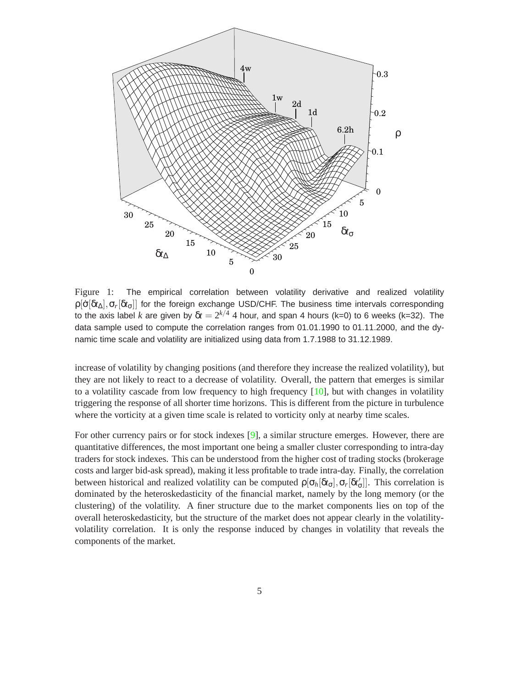

<span id="page-4-0"></span>Figure 1: The empirical correlation between volatility derivative and realized volatility ρ[σ˙[δ*t*∆],σ*<sup>r</sup>* [δ*t*σ]] for the foreign exchange USD/CHF. The business time intervals corresponding to the axis label  $k$  are given by  $\delta t = 2^{k/4}$  4 hour, and span 4 hours (k=0) to 6 weeks (k=32). The data sample used to compute the correlation ranges from 01.01.1990 to 01.11.2000, and the dynamic time scale and volatility are initialized using data from 1.7.1988 to 31.12.1989.

increase of volatility by changing positions (and therefore they increase the realized volatility), but they are not likely to react to a decrease of volatility. Overall, the pattern that emerges is similar to a volatility cascade from low frequency to high frequency  $[10]$ , but with changes in volatility triggering the response of all shorter time horizons. This is different from the picture in turbulence where the vorticity at a given time scale is related to vorticity only at nearby time scales.

For other currency pairs or for stock indexes [\[9\]](#page-9-1), a similar structure emerges. However, there are quantitative differences, the most important one being a smaller cluster corresponding to intra-day traders for stock indexes. This can be understood from the higher cost of trading stocks (brokerage costs and larger bid-ask spread), making it less profitable to trade intra-day. Finally, the correlation between historical and realized volatility can be computed  $\rho[\sigma_h[\delta t_{\sigma}], \sigma_r[\delta t'_{\sigma}]]$ . This correlation is dominated by the heteroskedasticity of the financial market, namely by the long memory (or the clustering) of the volatility. A finer structure due to the market components lies on top of the overall heteroskedasticity, but the structure of the market does not appear clearly in the volatilityvolatility correlation. It is only the response induced by changes in volatility that reveals the components of the market.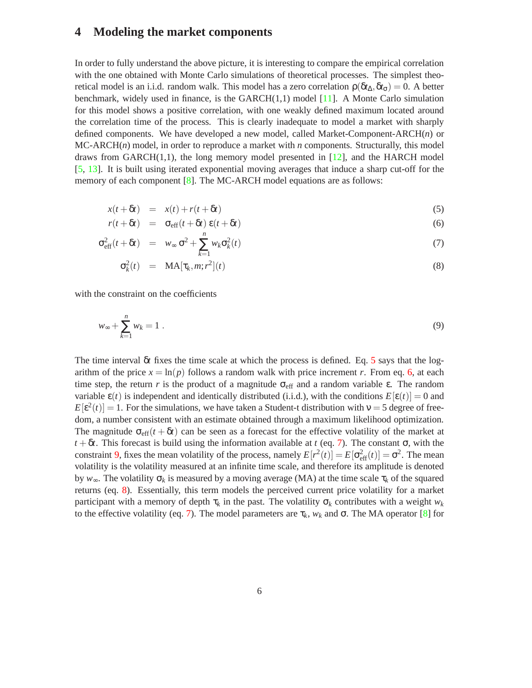#### **4 Modeling the market components**

In order to fully understand the above picture, it is interesting to compare the empirical correlation with the one obtained with Monte Carlo simulations of theoretical processes. The simplest theoretical model is an i.i.d. random walk. This model has a zero correlation  $\rho(\delta t_\Lambda, \delta t_\sigma) = 0$ . A better benchmark, widely used in finance, is the  $GARCH(1,1)$  model  $[11]$ . A Monte Carlo simulation for this model shows a positive correlation, with one weakly defined maximum located around the correlation time of the process. This is clearly inadequate to model a market with sharply defined components. We have developed a new model, called Market-Component-ARCH(*n*) or MC-ARCH(*n*) model, in order to reproduce a market with *n* components. Structurally, this model draws from  $GARCH(1,1)$ , the long memory model presented in  $[12]$ , and the HARCH model [\[5,](#page-8-4) [13\]](#page-9-5). It is built using iterated exponential moving averages that induce a sharp cut-off for the memory of each component [\[8\]](#page-9-0). The MC-ARCH model equations are as follows:

$$
x(t + \delta t) = x(t) + r(t + \delta t)
$$
\n(5)

$$
r(t + \delta t) = \sigma_{\text{eff}}(t + \delta t) \, \varepsilon(t + \delta t) \tag{6}
$$

$$
\sigma_{\text{eff}}^2(t+\delta t) = w_{\infty} \sigma^2 + \sum_{k=1}^n w_k \sigma_k^2(t) \tag{7}
$$

<span id="page-5-1"></span>
$$
\sigma_k^2(t) = \mathrm{MA}[\tau_k, m; r^2](t) \tag{8}
$$

<span id="page-5-0"></span>with the constraint on the coefficients

$$
w_{\infty} + \sum_{k=1}^{n} w_k = 1.
$$
 (9)

The time interval δ*t* fixes the time scale at which the process is defined. Eq. [5](#page-5-0) says that the logarithm of the price  $x = \ln(p)$  follows a random walk with price increment *r*. From eq. [6,](#page-5-0) at each time step, the return *r* is the product of a magnitude  $\sigma_{\text{eff}}$  and a random variable  $\varepsilon$ . The random variable  $\varepsilon(t)$  is independent and identically distributed (i.i.d.), with the conditions  $E[\varepsilon(t)] = 0$  and  $E[\varepsilon^2(t)] = 1$ . For the simulations, we have taken a Student-t distribution with  $v = 5$  degree of freedom, a number consistent with an estimate obtained through a maximum likelihood optimization. The magnitude  $\sigma_{\text{eff}}(t + \delta t)$  can be seen as a forecast for the effective volatility of the market at  $t + \delta t$ . This forecast is build using the information available at *t* (eq. [7\)](#page-5-0). The constant  $\sigma$ , with the constraint [9,](#page-5-1) fixes the mean volatility of the process, namely  $E[r^2(t)] = E[\sigma_{eff}^2(t)] = \sigma^2$ . The mean volatility is the volatility measured at an infinite time scale, and therefore its amplitude is denoted by  $w_{\infty}$ . The volatility  $\sigma_k$  is measured by a moving average (MA) at the time scale  $\tau_k$  of the squared returns (eq. [8\)](#page-5-0). Essentially, this term models the perceived current price volatility for a market participant with a memory of depth  $\tau_k$  in the past. The volatility  $\sigma_k$  contributes with a weight  $w_k$ to the effective volatility (eq. [7\)](#page-5-0). The model parameters are  $\tau_k$ ,  $w_k$  and  $\sigma$ . The MA operator [\[8\]](#page-9-0) for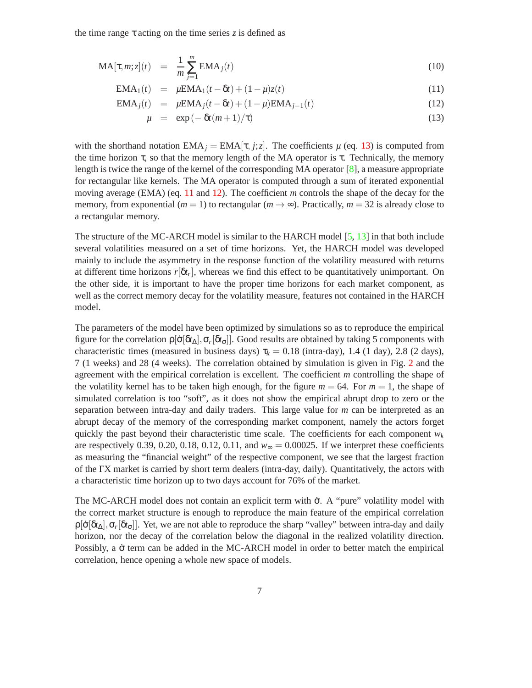the time range  $\tau$  acting on the time series *z* is defined as

$$
MA[\tau, m; z](t) = \frac{1}{m} \sum_{j=1}^{m} EMA_j(t)
$$
\n(10)

$$
EMA_1(t) = \mu EMA_1(t - \delta t) + (1 - \mu)z(t)
$$
\n(11)

$$
EMA_j(t) = \mu EMA_j(t - \delta t) + (1 - \mu) EMA_{j-1}(t)
$$
\n(12)

$$
\mu = \exp(-\delta t(m+1)/\tau) \tag{13}
$$

<span id="page-6-0"></span>with the shorthand notation  $EMA<sub>j</sub> = EMA[\tau, j; z]$ . The coefficients  $\mu$  (eq. [13\)](#page-6-0) is computed from the time horizon  $\tau$ , so that the memory length of the MA operator is  $\tau$ . Technically, the memory length is twice the range of the kernel of the corresponding MA operator  $[8]$ , a measure appropriate for rectangular like kernels. The MA operator is computed through a sum of iterated exponential moving average (EMA) (eq. [11](#page-6-0) and [12\)](#page-6-0). The coefficient *m* controls the shape of the decay for the memory, from exponential ( $m = 1$ ) to rectangular ( $m \rightarrow \infty$ ). Practically,  $m = 32$  is already close to a rectangular memory.

The structure of the MC-ARCH model is similar to the HARCH model [\[5,](#page-8-4) [13\]](#page-9-5) in that both include several volatilities measured on a set of time horizons. Yet, the HARCH model was developed mainly to include the asymmetry in the response function of the volatility measured with returns at different time horizons *r*[δ*t<sup>r</sup>* ], whereas we find this effect to be quantitatively unimportant. On the other side, it is important to have the proper time horizons for each market component, as well as the correct memory decay for the volatility measure, features not contained in the HARCH model.

The parameters of the model have been optimized by simulations so as to reproduce the empirical figure for the correlation ρ[σ˙[δ*t*∆],σ*<sup>r</sup>* [δ*t*σ]]. Good results are obtained by taking 5 components with characteristic times (measured in business days)  $\tau_k = 0.18$  (intra-day), 1.4 (1 day), 2.8 (2 days), 7 (1 weeks) and 28 (4 weeks). The correlation obtained by simulation is given in Fig. [2](#page-7-0) and the agreement with the empirical correlation is excellent. The coefficient *m* controlling the shape of the volatility kernel has to be taken high enough, for the figure  $m = 64$ . For  $m = 1$ , the shape of simulated correlation is too "soft", as it does not show the empirical abrupt drop to zero or the separation between intra-day and daily traders. This large value for *m* can be interpreted as an abrupt decay of the memory of the corresponding market component, namely the actors forget quickly the past beyond their characteristic time scale. The coefficients for each component  $w_k$ are respectively 0.39, 0.20, 0.18, 0.12, 0.11, and  $w_\infty = 0.00025$ . If we interpret these coefficients as measuring the "financial weight" of the respective component, we see that the largest fraction of the FX market is carried by short term dealers (intra-day, daily). Quantitatively, the actors with a characteristic time horizon up to two days account for 76% of the market.

The MC-ARCH model does not contain an explicit term with σ . A "pure" volatility model with the correct market structure is enough to reproduce the main feature of the empirical correlation ρ[σ˙[δ*t*∆],σ*<sup>r</sup>* [δ*t*σ]]. Yet, we are not able to reproduce the sharp "valley" between intra-day and daily horizon, nor the decay of the correlation below the diagonal in the realized volatility direction. Possibly, a σ˙ term can be added in the MC-ARCH model in order to better match the empirical correlation, hence opening a whole new space of models.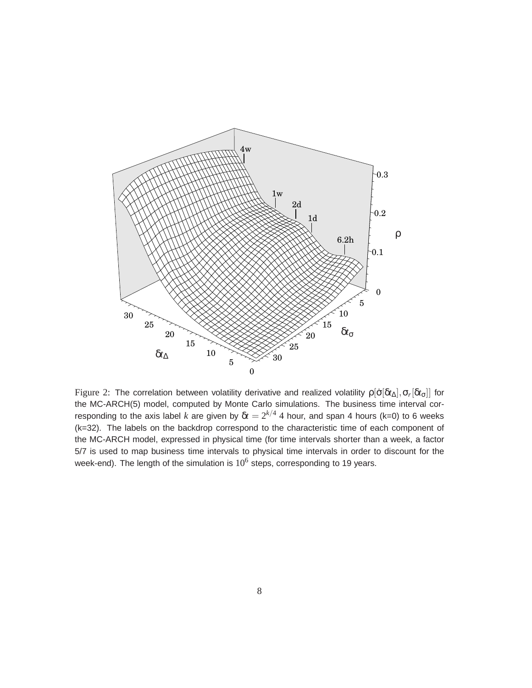

<span id="page-7-0"></span>Figure 2: The correlation between volatility derivative and realized volatility ρ[σ˙[δ*t*∆],σ*<sup>r</sup>* [δ*t*σ]] for the MC-ARCH(5) model, computed by Monte Carlo simulations. The business time interval corresponding to the axis label  $k$  are given by  $\delta t = 2^{k/4}$  4 hour, and span 4 hours (k=0) to 6 weeks (k=32). The labels on the backdrop correspond to the characteristic time of each component of the MC-ARCH model, expressed in physical time (for time intervals shorter than a week, a factor 5/7 is used to map business time intervals to physical time intervals in order to discount for the week-end). The length of the simulation is  $10^6$  steps, corresponding to 19 years.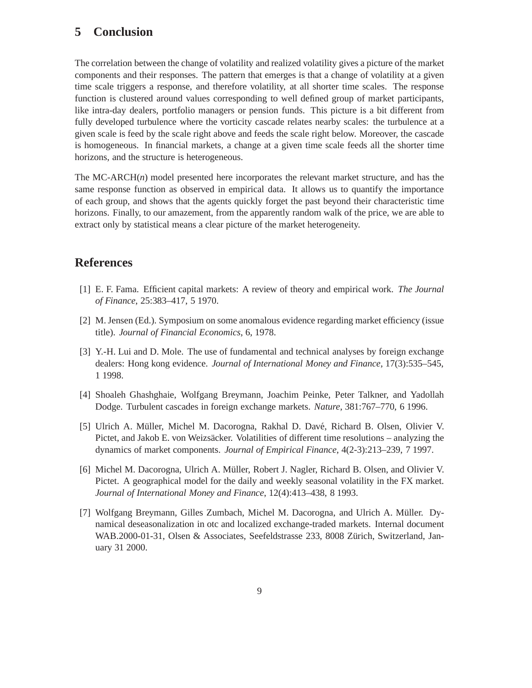# **5 Conclusion**

The correlation between the change of volatility and realized volatility gives a picture of the market components and their responses. The pattern that emerges is that a change of volatility at a given time scale triggers a response, and therefore volatility, at all shorter time scales. The response function is clustered around values corresponding to well defined group of market participants, like intra-day dealers, portfolio managers or pension funds. This picture is a bit different from fully developed turbulence where the vorticity cascade relates nearby scales: the turbulence at a given scale is feed by the scale right above and feeds the scale right below. Moreover, the cascade is homogeneous. In financial markets, a change at a given time scale feeds all the shorter time horizons, and the structure is heterogeneous.

The MC-ARCH(*n*) model presented here incorporates the relevant market structure, and has the same response function as observed in empirical data. It allows us to quantify the importance of each group, and shows that the agents quickly forget the past beyond their characteristic time horizons. Finally, to our amazement, from the apparently random walk of the price, we are able to extract only by statistical means a clear picture of the market heterogeneity.

#### <span id="page-8-0"></span>**References**

- <span id="page-8-1"></span>[1] E. F. Fama. Efficient capital markets: A review of theory and empirical work. *The Journal of Finance*, 25:383–417, 5 1970.
- [2] M. Jensen (Ed.). Symposium on some anomalous evidence regarding market efficiency (issue title). *Journal of Financial Economics*, 6, 1978.
- <span id="page-8-2"></span>[3] Y.-H. Lui and D. Mole. The use of fundamental and technical analyses by foreign exchange dealers: Hong kong evidence. *Journal of International Money and Finance*, 17(3):535–545, 1 1998.
- <span id="page-8-4"></span><span id="page-8-3"></span>[4] Shoaleh Ghashghaie, Wolfgang Breymann, Joachim Peinke, Peter Talkner, and Yadollah Dodge. Turbulent cascades in foreign exchange markets. *Nature*, 381:767–770, 6 1996.
- [5] Ulrich A. Müller, Michel M. Dacorogna, Rakhal D. Davé, Richard B. Olsen, Olivier V. Pictet, and Jakob E. von Weizsäcker. Volatilities of different time resolutions – analyzing the dynamics of market components. *Journal of Empirical Finance*, 4(2-3):213–239, 7 1997.
- <span id="page-8-5"></span>[6] Michel M. Dacorogna, Ulrich A. Müller, Robert J. Nagler, Richard B. Olsen, and Olivier V. Pictet. A geographical model for the daily and weekly seasonal volatility in the FX market. *Journal of International Money and Finance*, 12(4):413–438, 8 1993.
- <span id="page-8-6"></span>[7] Wolfgang Breymann, Gilles Zumbach, Michel M. Dacorogna, and Ulrich A. Müller. Dynamical deseasonalization in otc and localized exchange-traded markets. Internal document WAB.2000-01-31, Olsen & Associates, Seefeldstrasse 233, 8008 Zürich, Switzerland, January 31 2000.